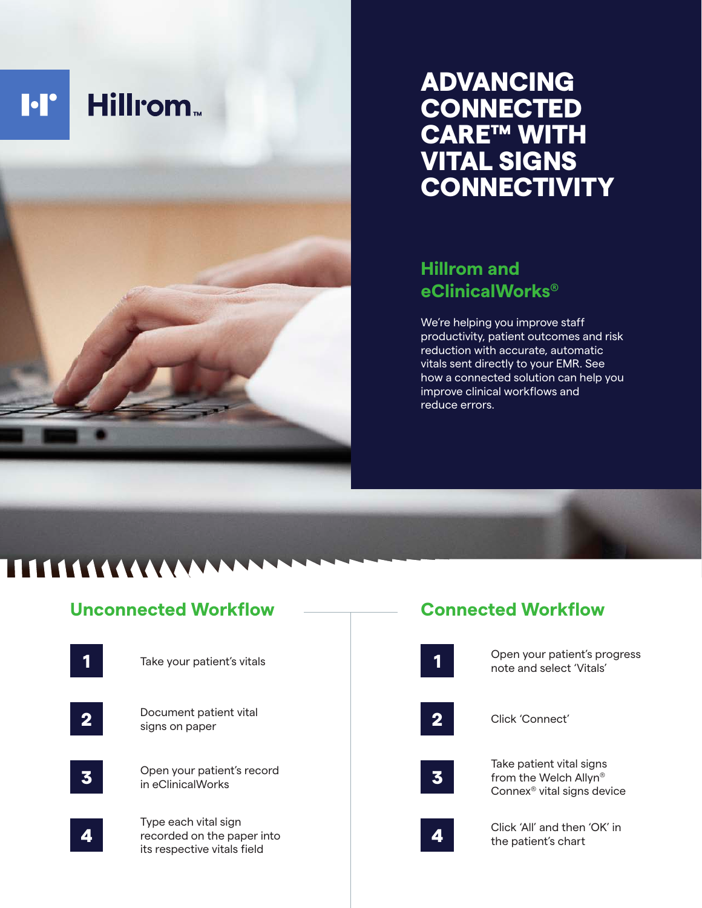

## ADVANCING **CONNECTED** CARE™ WITH VITAL SIGNS **CONNECTIVITY**

## **Hillrom and eClinicalWorks®**

We're helping you improve staff productivity, patient outcomes and risk reduction with accurate, automatic vitals sent directly to your EMR. See how a connected solution can help you improve clinical workflows and reduce errors.

# **111111111111111**

## **Unconnected Workflow**



## **Connected Workflow**